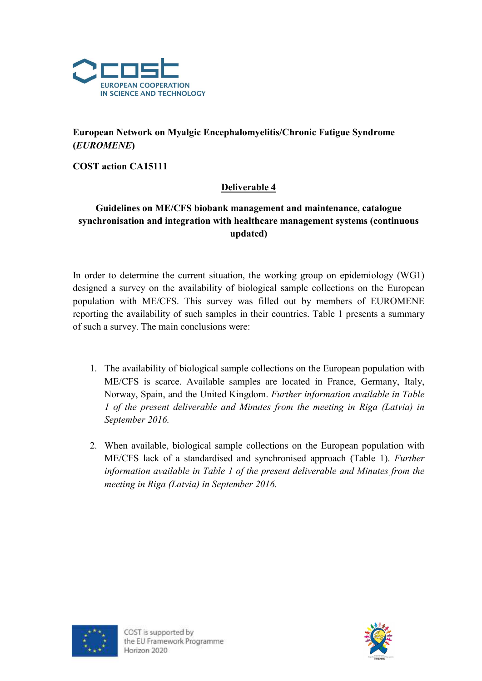

## European Network on Myalgic Encephalomyelitis/Chronic Fatigue Syndrome (EUROMENE)

COST action CA15111

## Deliverable 4

## Guidelines on ME/CFS biobank management and maintenance, catalogue synchronisation and integration with healthcare management systems (continuous updated)

In order to determine the current situation, the working group on epidemiology (WG1) designed a survey on the availability of biological sample collections on the European population with ME/CFS. This survey was filled out by members of EUROMENE reporting the availability of such samples in their countries. Table 1 presents a summary of such a survey. The main conclusions were:

- 1. The availability of biological sample collections on the European population with ME/CFS is scarce. Available samples are located in France, Germany, Italy, Norway, Spain, and the United Kingdom. Further information available in Table 1 of the present deliverable and Minutes from the meeting in Riga (Latvia) in September 2016.
- 2. When available, biological sample collections on the European population with ME/CFS lack of a standardised and synchronised approach (Table 1). Further information available in Table 1 of the present deliverable and Minutes from the meeting in Riga (Latvia) in September 2016.



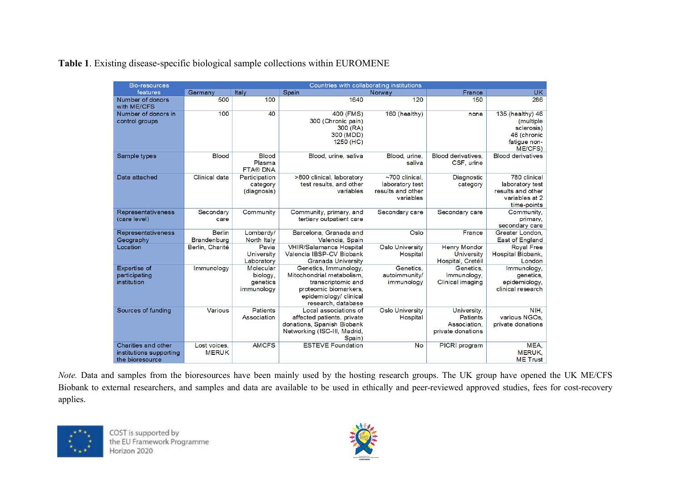|  |  |  |  | Table 1. Existing disease-specific biological sample collections within EUROMENE |
|--|--|--|--|----------------------------------------------------------------------------------|
|  |  |  |  |                                                                                  |

| Bio-resources                                                     | Countries with collaborating institutions |                                                 |                                                                                                                                                   |                                                                           |                                                                     |                                                                                        |  |  |  |
|-------------------------------------------------------------------|-------------------------------------------|-------------------------------------------------|---------------------------------------------------------------------------------------------------------------------------------------------------|---------------------------------------------------------------------------|---------------------------------------------------------------------|----------------------------------------------------------------------------------------|--|--|--|
| features                                                          | Germany                                   | Italy                                           | Spain                                                                                                                                             | Norway                                                                    | France                                                              | <b>UK</b>                                                                              |  |  |  |
| Number of donors<br>with ME/CFS                                   | 500                                       | 100                                             | 1640                                                                                                                                              | 120                                                                       | 150                                                                 | 286                                                                                    |  |  |  |
| Number of donors in<br>control groups                             | 100                                       | 40                                              | 400 (FMS)<br>300 (Chronic pain)<br>300 (RA)<br>300 (MDD)<br>$1250$ (HC)                                                                           | 160 (healthy)                                                             | none                                                                | 135 (healthy) 46<br>(multiple)<br>sclerosis)<br>46 (chronic<br>fatigue non-<br>ME/CFS) |  |  |  |
| Sample types                                                      | <b>Blood</b>                              | <b>Blood</b><br>Plasma<br><b>FTA® DNA</b>       | Blood, urine, saliva                                                                                                                              | Blood, urine.<br>saliva                                                   | Blood derivatives.<br>CSF, urine                                    | <b>Blood derivatives</b>                                                               |  |  |  |
| Data attached                                                     | <b>Clinical data</b>                      | Participation<br>category<br>(diagnosis)        | >800 clinical, laboratory<br>test results, and other<br>variables                                                                                 | $\sim$ 700 clinical.<br>laboratory test<br>results and other<br>variables | Diagnostic<br>category                                              | 780 clinical<br>laboratory test<br>results and other<br>variables at 2<br>time-points  |  |  |  |
| Representativeness<br>(care level)                                | Secondary<br>care                         | Community                                       | Community, primary, and<br>tertiary outpatient care                                                                                               | Secondary care                                                            | Secondary care                                                      | Community,<br>primary.<br>secondary care                                               |  |  |  |
| Representativeness<br>Geography                                   | <b>Berlin</b><br><b>Brandenburg</b>       | Lombardy/<br>North Italy                        | Barcelona, Granada and<br>Valencia, Spain                                                                                                         | Oslo                                                                      | France                                                              | Greater London.<br><b>East of England</b>                                              |  |  |  |
| Location                                                          | Berlin, Charité                           | Pavia<br>University<br>Laboratory               | VHIR/Salamanca Hospital<br>Valencia IBSP-CV Biobank<br>Granada University                                                                         | Oslo University<br>Hospital                                               | <b>Henry Mondor</b><br><b>University</b><br>Hospital, Cretéil       | <b>Royal Free</b><br>Hospital Biobank,<br>London                                       |  |  |  |
| <b>Expertise of</b><br>participating<br>institution               | Immunology                                | Molecular<br>biology.<br>genetics<br>immunology | Genetics, Immunology.<br>Mitochondrial metabolism.<br>transcriptomic and<br>proteomic biomarkers,<br>epidemiology/ clinical<br>research, database | Genetics.<br>autoimmunity/<br>immunology                                  | Genetics.<br>Immunology.<br><b>Clinical imaging</b>                 | Immunology,<br>genetics.<br>epidemiology.<br>clinical research                         |  |  |  |
| Sources of funding                                                | Various                                   | <b>Patients</b><br>Association                  | Local associations of<br>affected patients, private<br>donations, Spanish Biobank<br>Networking (ISC-III, Madrid,<br>Spain)                       | Oslo University<br>Hospital                                               | University.<br><b>Patients</b><br>Association.<br>private donations | NIH.<br>various NGOs.<br>private donations                                             |  |  |  |
| Charities and other<br>institutions supporting<br>the bioresource | Lost voices.<br><b>MERUK</b>              | <b>AMCFS</b>                                    | <b>ESTEVE Foundation</b>                                                                                                                          | No                                                                        | PICRI program                                                       | MEA.<br><b>MERUK.</b><br><b>ME</b> Trust                                               |  |  |  |

Note. Data and samples from the bioresources have been mainly used by the hosting research groups. The UK group have opened the UK ME/CFS Biobank to external researchers, and samples and data are available to be used in ethically and peer-reviewed approved studies, fees for cost-recovery applies.



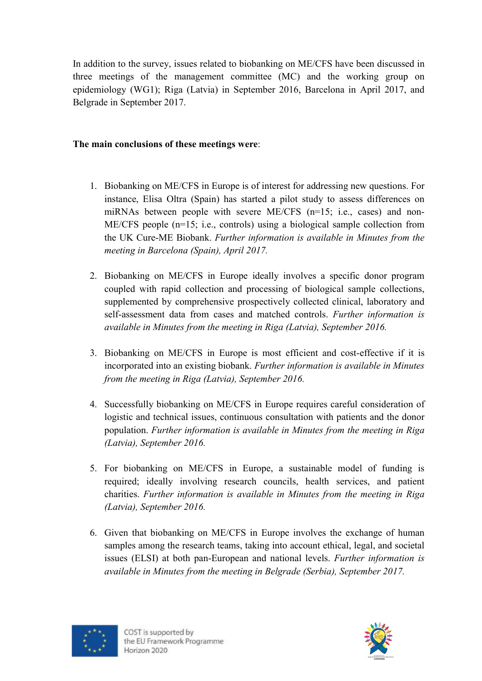In addition to the survey, issues related to biobanking on ME/CFS have been discussed in three meetings of the management committee (MC) and the working group on epidemiology (WG1); Riga (Latvia) in September 2016, Barcelona in April 2017, and Belgrade in September 2017.

## The main conclusions of these meetings were:

- 1. Biobanking on ME/CFS in Europe is of interest for addressing new questions. For instance, Elisa Oltra (Spain) has started a pilot study to assess differences on miRNAs between people with severe ME/CFS (n=15; i.e., cases) and non-ME/CFS people (n=15; i.e., controls) using a biological sample collection from the UK Cure-ME Biobank. Further information is available in Minutes from the meeting in Barcelona (Spain), April 2017.
- 2. Biobanking on ME/CFS in Europe ideally involves a specific donor program coupled with rapid collection and processing of biological sample collections, supplemented by comprehensive prospectively collected clinical, laboratory and self-assessment data from cases and matched controls. Further information is available in Minutes from the meeting in Riga (Latvia), September 2016.
- 3. Biobanking on ME/CFS in Europe is most efficient and cost-effective if it is incorporated into an existing biobank. Further information is available in Minutes from the meeting in Riga (Latvia), September 2016.
- 4. Successfully biobanking on ME/CFS in Europe requires careful consideration of logistic and technical issues, continuous consultation with patients and the donor population. Further information is available in Minutes from the meeting in Riga (Latvia), September 2016.
- 5. For biobanking on ME/CFS in Europe, a sustainable model of funding is required; ideally involving research councils, health services, and patient charities. Further information is available in Minutes from the meeting in Riga (Latvia), September 2016.
- 6. Given that biobanking on ME/CFS in Europe involves the exchange of human samples among the research teams, taking into account ethical, legal, and societal issues (ELSI) at both pan-European and national levels. Further information is available in Minutes from the meeting in Belgrade (Serbia), September 2017.